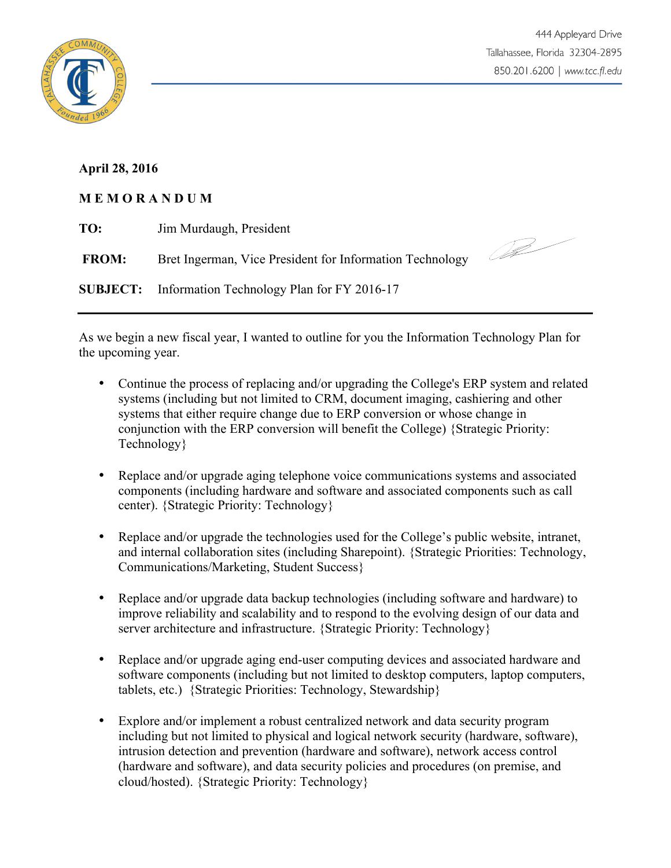

## **April 28, 2016**

## **M E M O R A N D U M**

| TO:          | Jim Murdaugh, President                                    |  |
|--------------|------------------------------------------------------------|--|
| <b>FROM:</b> | Bret Ingerman, Vice President for Information Technology   |  |
|              | <b>SUBJECT:</b> Information Technology Plan for FY 2016-17 |  |

As we begin a new fiscal year, I wanted to outline for you the Information Technology Plan for the upcoming year.

- Continue the process of replacing and/or upgrading the College's ERP system and related systems (including but not limited to CRM, document imaging, cashiering and other systems that either require change due to ERP conversion or whose change in conjunction with the ERP conversion will benefit the College) {Strategic Priority: Technology}
- Replace and/or upgrade aging telephone voice communications systems and associated components (including hardware and software and associated components such as call center). {Strategic Priority: Technology}
- Replace and/or upgrade the technologies used for the College's public website, intranet, and internal collaboration sites (including Sharepoint). {Strategic Priorities: Technology, Communications/Marketing, Student Success}
- Replace and/or upgrade data backup technologies (including software and hardware) to improve reliability and scalability and to respond to the evolving design of our data and server architecture and infrastructure. {Strategic Priority: Technology}
- Replace and/or upgrade aging end-user computing devices and associated hardware and software components (including but not limited to desktop computers, laptop computers, tablets, etc.) {Strategic Priorities: Technology, Stewardship}
- Explore and/or implement a robust centralized network and data security program including but not limited to physical and logical network security (hardware, software), intrusion detection and prevention (hardware and software), network access control (hardware and software), and data security policies and procedures (on premise, and cloud/hosted). {Strategic Priority: Technology}